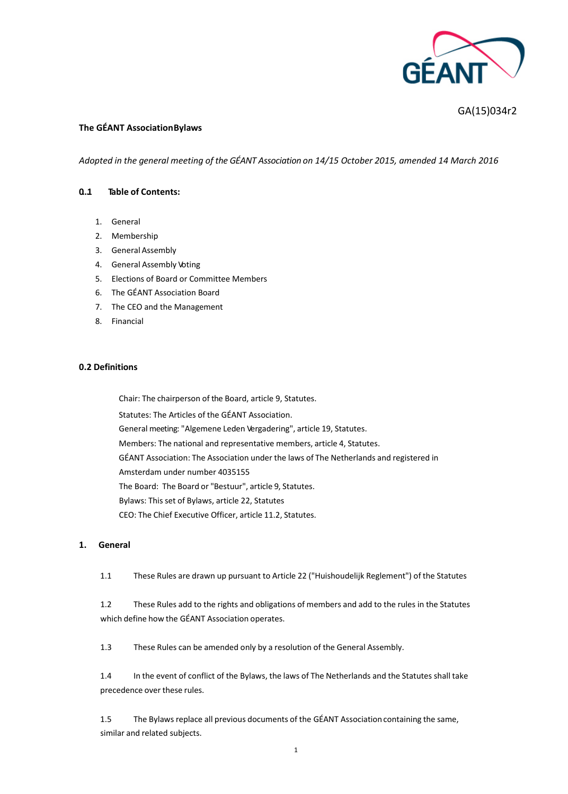

# GA(15)034r2

### **The GÉANT AssociationBylaws**

*Adopted in the general meeting of the GÉANT Association on 14/15 October 2015, amended 14 March 2016*

### **0…1 Table of Contents:**

- 1. General
- 2. Membership
- 3. General Assembly
- 4. General Assembly Voting
- 5. Elections of Board or Committee Members
- 6. The GÉANT Association Board
- 7. The CEO and the Management
- 8. Financial

### **0.2 Definitions**

Chair: The chairperson of the Board, article 9, Statutes.

Statutes: The Articles of the GÉANT Association.

General meeting: "Algemene Leden Vergadering", article 19, Statutes.

Members: The national and representative members, article 4, Statutes.

- GÉANT Association: The Association under the laws of The Netherlands and registered in
- Amsterdam under number 4035155

The Board: The Board or "Bestuur", article 9, Statutes.

Bylaws: This set of Bylaws, article 22, Statutes

CEO: The Chief Executive Officer, article 11.2, Statutes.

### **1. General**

1.1 These Rules are drawn up pursuant to Article 22 ("Huishoudelijk Reglement") of the Statutes

1.2 These Rules add to the rights and obligations of members and add to the rules in the Statutes which define how the GÉANT Association operates.

1.3 These Rules can be amended only by a resolution of the General Assembly.

1.4 In the event of conflict of the Bylaws, the laws of The Netherlands and the Statutes shall take precedence over these rules.

1.5 The Bylaws replace all previous documents of the GÉANT Associationcontaining the same, similar and related subjects.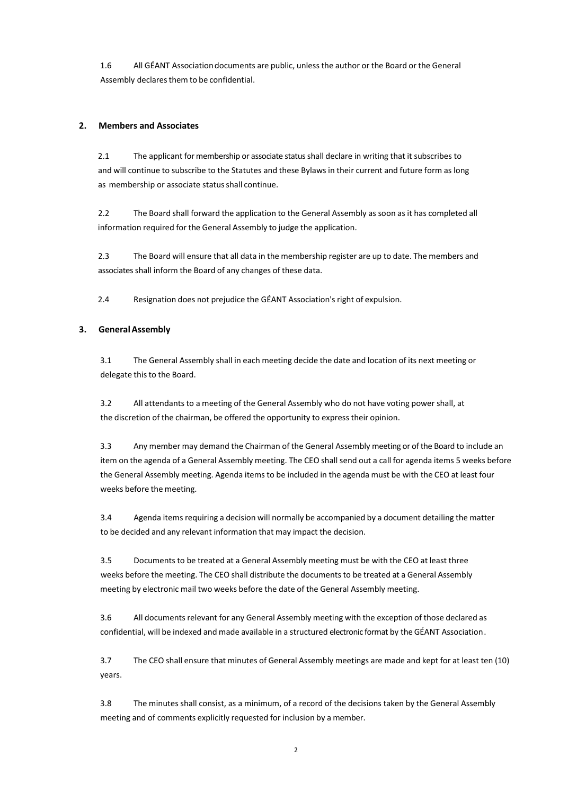1.6 All GÉANT Associationdocuments are public, unless the author or the Board or the General Assembly declares them to be confidential.

#### **2. Members and Associates**

2.1 The applicant for membership or associate status shall declare in writing that it subscribes to and will continue to subscribe to the Statutes and these Bylaws in their current and future form as long as membership or associate status shall continue.

2.2 The Board shall forward the application to the General Assembly as soon as it has completed all information required for the General Assembly to judge the application.

2.3 The Board will ensure that all data in the membership register are up to date. The members and associates shall inform the Board of any changes of these data.

2.4 Resignation does not prejudice the GÉANT Association's right of expulsion.

### **3. GeneralAssembly**

3.1 The General Assembly shall in each meeting decide the date and location of its next meeting or delegate this to the Board.

3.2 All attendants to a meeting of the General Assembly who do not have voting power shall, at the discretion of the chairman, be offered the opportunity to express their opinion.

3.3 Any member may demand the Chairman of the General Assembly meeting or of the Board to include an item on the agenda of a General Assembly meeting. The CEO shall send out a call for agenda items 5 weeks before the General Assembly meeting. Agenda items to be included in the agenda must be with the CEO at least four weeks before the meeting.

3.4 Agenda items requiring a decision will normally be accompanied by a document detailing the matter to be decided and any relevant information that may impact the decision.

3.5 Documents to be treated at a General Assembly meeting must be with the CEO at least three weeks before the meeting. The CEO shall distribute the documents to be treated at a General Assembly meeting by electronic mail two weeks before the date of the General Assembly meeting.

3.6 All documents relevant for any General Assembly meeting with the exception of those declared as confidential, will be indexed and made available in a structured electronic format by theGÉANT Association.

3.7 The CEO shall ensure that minutes of General Assembly meetings are made and kept for at least ten (10) years.

3.8 The minutes shall consist, as a minimum, of a record of the decisions taken by the General Assembly meeting and of comments explicitly requested for inclusion by a member.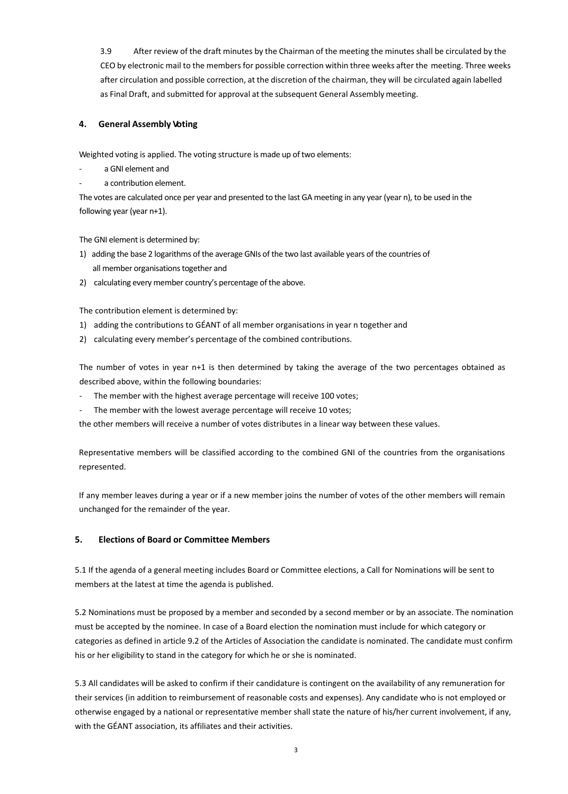3.9 After review of the draft minutes by the Chairman of the meeting the minutes shall be circulated by the CEO by electronic mail to the members for possible correction within three weeks after the meeting. Three weeks after circulation and possible correction, at the discretion of the chairman, they will be circulated again labelled as Final Draft, and submitted for approval at the subsequent General Assembly meeting.

### **4. General Assembly Voting**

Weighted voting is applied. The voting structure is made up of two elements:

- a GNI element and
- a contribution element.

The votes are calculated once per year and presented to the last GA meeting in any year (year n), to be used in the following year (year n+1).

The GNI element is determined by:

- 1) adding the base 2 logarithms of the average GNIs of the two last available years of the countries of all member organisations together and
- 2) calculating every member country's percentage of the above.

The contribution element is determined by:

- 1) adding the contributions to GÉANT of all member organisations in year n together and
- 2) calculating every member's percentage of the combined contributions.

The number of votes in year n+1 is then determined by taking the average of the two percentages obtained as described above, within the following boundaries:

- The member with the highest average percentage will receive 100 votes;
- The member with the lowest average percentage will receive 10 votes;

the other members will receive a number of votes distributes in a linear way between these values.

Representative members will be classified according to the combined GNI of the countries from the organisations represented.

If any member leaves during a year or if a new member joins the number of votes of the other members will remain unchanged for the remainder of the year.

### **5. Elections of Board or Committee Members**

5.1 If the agenda of a general meeting includes Board or Committee elections, a Call for Nominations will be sent to members at the latest at time the agenda is published.

5.2 Nominations must be proposed by a member and seconded by a second member or by an associate. The nomination must be accepted by the nominee. In case of a Board election the nomination must include for which category or categories as defined in article 9.2 of the Articles of Association the candidate is nominated. The candidate must confirm his or her eligibility to stand in the category for which he or she is nominated.

5.3 All candidates will be asked to confirm if their candidature is contingent on the availability of any remuneration for their services (in addition to reimbursement of reasonable costs and expenses). Any candidate who is not employed or otherwise engaged by a national or representative member shall state the nature of his/her current involvement, if any, with the GÉANT association, its affiliates and their activities.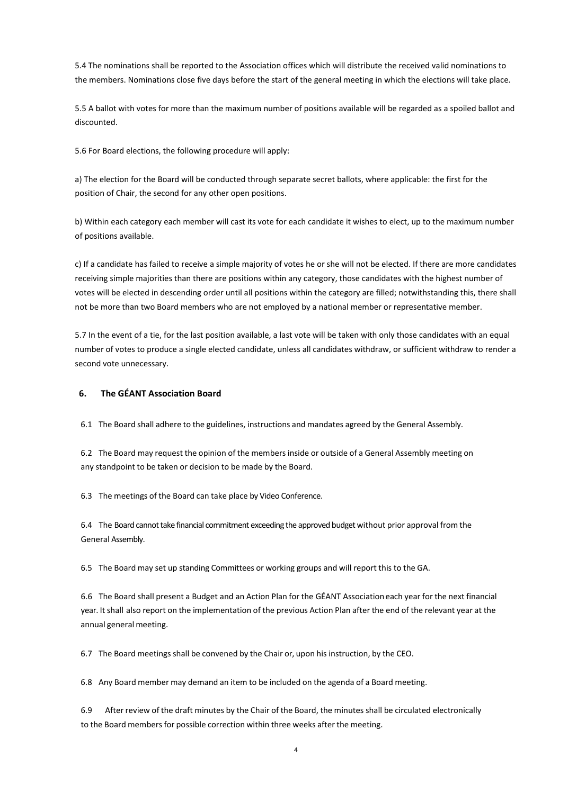5.4 The nominations shall be reported to the Association offices which will distribute the received valid nominations to the members. Nominations close five days before the start of the general meeting in which the elections will take place.

5.5 A ballot with votes for more than the maximum number of positions available will be regarded as a spoiled ballot and discounted.

5.6 For Board elections, the following procedure will apply:

a) The election for the Board will be conducted through separate secret ballots, where applicable: the first for the position of Chair, the second for any other open positions.

b) Within each category each member will cast its vote for each candidate it wishes to elect, up to the maximum number of positions available.

c) If a candidate has failed to receive a simple majority of votes he or she will not be elected. If there are more candidates receiving simple majorities than there are positions within any category, those candidates with the highest number of votes will be elected in descending order until all positions within the category are filled; notwithstanding this, there shall not be more than two Board members who are not employed by a national member or representative member.

5.7 In the event of a tie, for the last position available, a last vote will be taken with only those candidates with an equal number of votes to produce a single elected candidate, unless all candidates withdraw, or sufficient withdraw to render a second vote unnecessary.

## **6. The GÉANT Association Board**

6.1 The Board shall adhere to the guidelines, instructions and mandates agreed by the General Assembly.

6.2 The Board may request the opinion of the members inside or outside of a General Assembly meeting on any standpoint to be taken or decision to be made by the Board.

6.3 The meetings of the Board can take place by Video Conference.

6.4 The Board cannot take financial commitment exceeding the approved budget without prior approval from the General Assembly.

6.5 The Board may set up standing Committees or working groups and will report this to the GA.

6.6 The Board shall present a Budget and an Action Plan for the GÉANT Associationeach year for the next financial year. It shall also report on the implementation of the previous Action Plan after the end of the relevant year at the annual general meeting.

6.7 The Board meetings shall be convened by the Chair or, upon his instruction, by the CEO.

6.8 Any Board member may demand an item to be included on the agenda of a Board meeting.

6.9 After review of the draft minutes by the Chair of the Board, the minutes shall be circulated electronically to the Board members for possible correction within three weeks after the meeting.